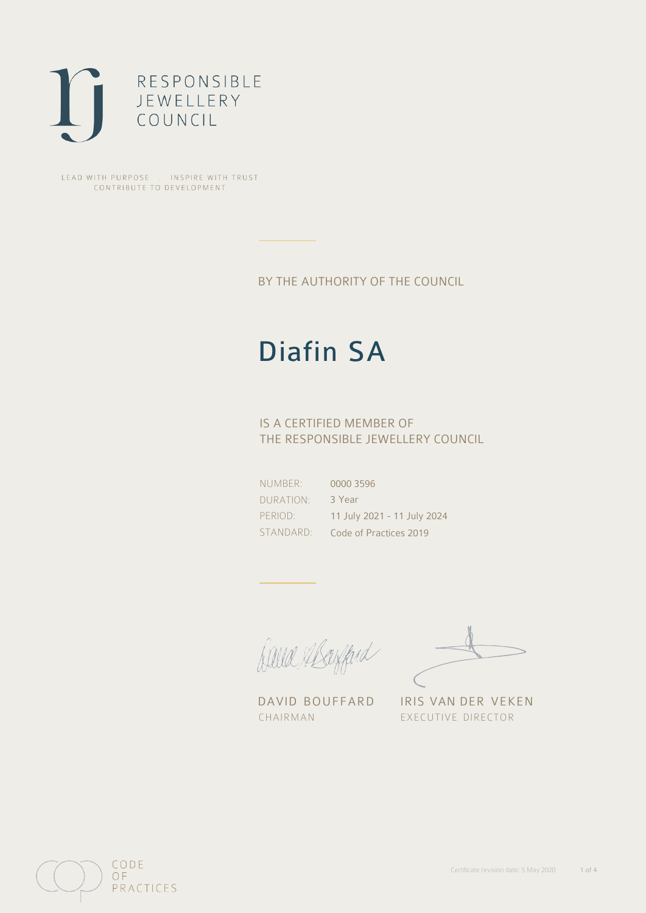

LEAD WITH PURPOSE . INSPIRE WITH TRUST CONTRIBUTE TO DEVELOPMENT

BY THE AUTHORITY OF THE COUNCIL

# Diafin SA

## IS A CERTIFIED MEMBER OF THE RESPONSIBLE JEWELLERY COUNCIL

NUMBER: DURATION: PERIOD: STANDARD: 0000 3596 3 Year 11 July 2021 - 11 July 2024 Code of Practices 2019

Caux Mayfard

CHAIRMAN EXECUTIVE DIRECTOR

DAVID BOUFFARD IRIS VAN DER VEKEN

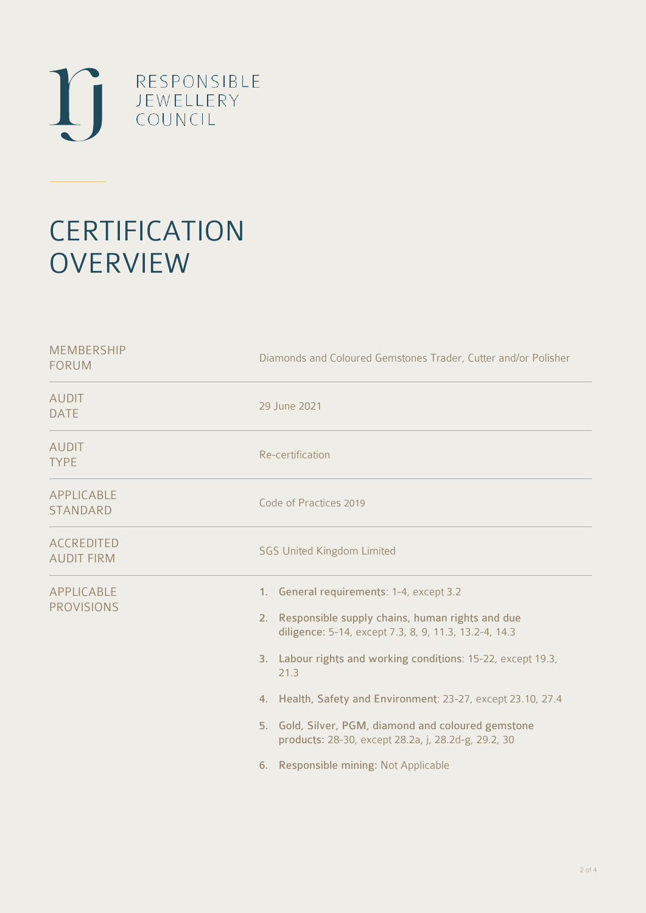

# **CERTIFICATION OVERVIEW**

| Diamonds and Coloured Gemstones Trader, Cutter and/or Polisher                                                                                                                                                                                                                                                                                                                                                                                            |  |  |
|-----------------------------------------------------------------------------------------------------------------------------------------------------------------------------------------------------------------------------------------------------------------------------------------------------------------------------------------------------------------------------------------------------------------------------------------------------------|--|--|
| 29 June 2021                                                                                                                                                                                                                                                                                                                                                                                                                                              |  |  |
| Re-certification                                                                                                                                                                                                                                                                                                                                                                                                                                          |  |  |
| Code of Practices 2019                                                                                                                                                                                                                                                                                                                                                                                                                                    |  |  |
| <b>SGS United Kingdom Limited</b>                                                                                                                                                                                                                                                                                                                                                                                                                         |  |  |
| 1. General requirements: 1-4, except 3.2<br>2. Responsible supply chains, human rights and due<br>diligence: 5-14, except 7.3, 8, 9, 11.3, 13.2-4, 14.3<br>3. Labour rights and working conditions: 15-22, except 19.3,<br>21.3<br>4. Health, Safety and Environment: 23-27, except 23.10, 27.4<br>5. Gold, Silver, PGM, diamond and coloured gemstone<br>products: 28-30, except 28.2a, j, 28.2d-g, 29.2, 30<br>Responsible mining: Not Applicable<br>6. |  |  |
|                                                                                                                                                                                                                                                                                                                                                                                                                                                           |  |  |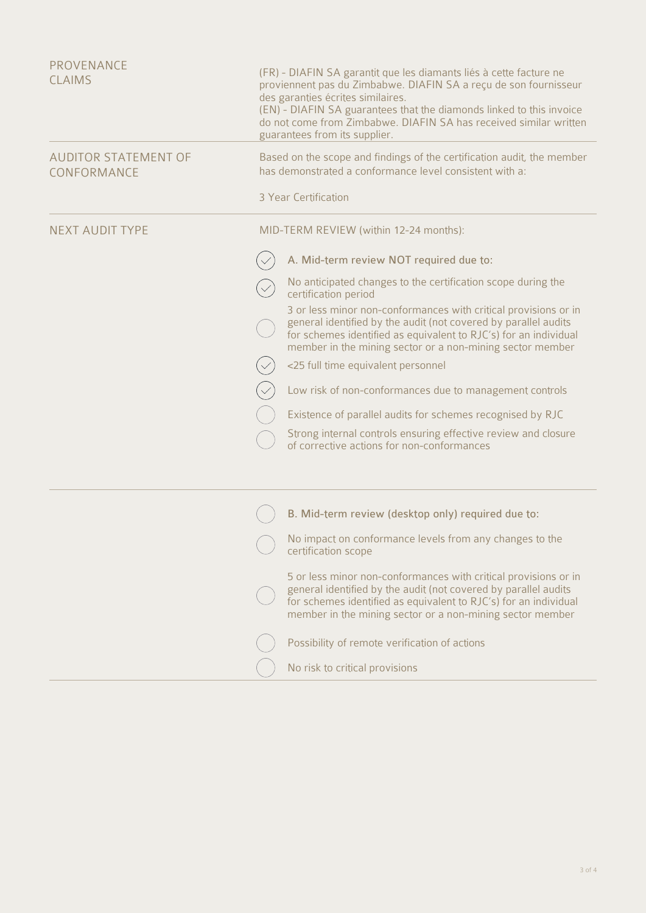| PROVENANCE<br><b>CLAIMS</b>                |                                        | (FR) - DIAFIN SA garantit que les diamants liés à cette facture ne<br>proviennent pas du Zimbabwe. DIAFIN SA a reçu de son fournisseur<br>des garanties écrites similaires.<br>(EN) - DIAFIN SA guarantees that the diamonds linked to this invoice<br>do not come from Zimbabwe. DIAFIN SA has received similar written<br>guarantees from its supplier. |  |
|--------------------------------------------|----------------------------------------|-----------------------------------------------------------------------------------------------------------------------------------------------------------------------------------------------------------------------------------------------------------------------------------------------------------------------------------------------------------|--|
| <b>AUDITOR STATEMENT OF</b><br>CONFORMANCE |                                        | Based on the scope and findings of the certification audit, the member<br>has demonstrated a conformance level consistent with a:                                                                                                                                                                                                                         |  |
|                                            |                                        | 3 Year Certification                                                                                                                                                                                                                                                                                                                                      |  |
| <b>NEXT AUDIT TYPE</b>                     | MID-TERM REVIEW (within 12-24 months): |                                                                                                                                                                                                                                                                                                                                                           |  |
|                                            |                                        | A. Mid-term review NOT required due to:                                                                                                                                                                                                                                                                                                                   |  |
|                                            |                                        | No anticipated changes to the certification scope during the<br>certification period                                                                                                                                                                                                                                                                      |  |
|                                            |                                        | 3 or less minor non-conformances with critical provisions or in<br>general identified by the audit (not covered by parallel audits<br>for schemes identified as equivalent to RJC's) for an individual<br>member in the mining sector or a non-mining sector member                                                                                       |  |
|                                            |                                        | <25 full time equivalent personnel                                                                                                                                                                                                                                                                                                                        |  |
|                                            |                                        | Low risk of non-conformances due to management controls                                                                                                                                                                                                                                                                                                   |  |
|                                            |                                        | Existence of parallel audits for schemes recognised by RJC                                                                                                                                                                                                                                                                                                |  |
|                                            |                                        | Strong internal controls ensuring effective review and closure<br>of corrective actions for non-conformances                                                                                                                                                                                                                                              |  |
|                                            |                                        |                                                                                                                                                                                                                                                                                                                                                           |  |
|                                            |                                        | B. Mid-term review (desktop only) required due to:                                                                                                                                                                                                                                                                                                        |  |
|                                            |                                        | No impact on conformance levels from any changes to the<br>certification scope                                                                                                                                                                                                                                                                            |  |
|                                            |                                        | 5 or less minor non-conformances with critical provisions or in<br>general identified by the audit (not covered by parallel audits<br>for schemes identified as equivalent to RJC's) for an individual<br>member in the mining sector or a non-mining sector member                                                                                       |  |
|                                            |                                        | Possibility of remote verification of actions                                                                                                                                                                                                                                                                                                             |  |
|                                            |                                        | No risk to critical provisions                                                                                                                                                                                                                                                                                                                            |  |